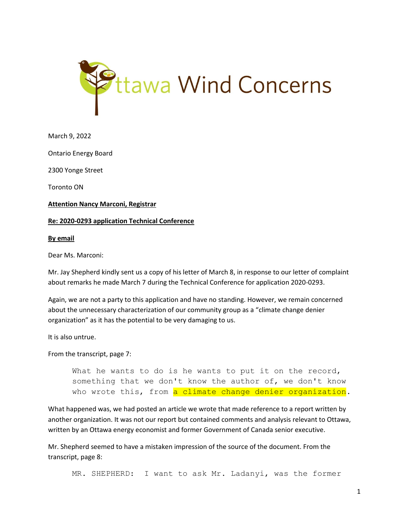

March 9, 2022

Ontario Energy Board

2300 Yonge Street

Toronto ON

**Attention Nancy Marconi, Registrar**

## **Re: 2020-0293 application Technical Conference**

## **By email**

Dear Ms. Marconi:

Mr. Jay Shepherd kindly sent us a copy of his letter of March 8, in response to our letter of complaint about remarks he made March 7 during the Technical Conference for application 2020-0293.

Again, we are not a party to this application and have no standing. However, we remain concerned about the unnecessary characterization of our community group as a "climate change denier organization" as it has the potential to be very damaging to us.

It is also untrue.

From the transcript, page 7:

What he wants to do is he wants to put it on the record, something that we don't know the author of, we don't know who wrote this, from a climate change denier organization.

What happened was, we had posted an article we wrote that made reference to a report written by another organization. It was not our report but contained comments and analysis relevant to Ottawa, written by an Ottawa energy economist and former Government of Canada senior executive.

Mr. Shepherd seemed to have a mistaken impression of the source of the document. From the transcript, page 8:

MR. SHEPHERD: I want to ask Mr. Ladanyi, was the former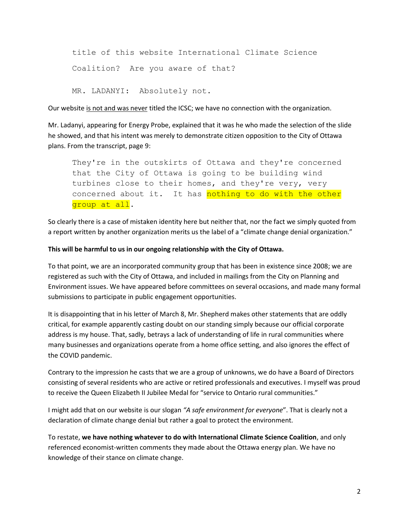title of this website International Climate Science Coalition? Are you aware of that?

MR. LADANYI: Absolutely not.

Our website is not and was never titled the ICSC; we have no connection with the organization.

Mr. Ladanyi, appearing for Energy Probe, explained that it was he who made the selection of the slide he showed, and that his intent was merely to demonstrate citizen opposition to the City of Ottawa plans. From the transcript, page 9:

They're in the outskirts of Ottawa and they're concerned that the City of Ottawa is going to be building wind turbines close to their homes, and they're very, very concerned about it. It has nothing to do with the other group at all.

So clearly there is a case of mistaken identity here but neither that, nor the fact we simply quoted from a report written by another organization merits us the label of a "climate change denial organization."

## **This will be harmful to us in our ongoing relationship with the City of Ottawa.**

To that point, we are an incorporated community group that has been in existence since 2008; we are registered as such with the City of Ottawa, and included in mailings from the City on Planning and Environment issues. We have appeared before committees on several occasions, and made many formal submissions to participate in public engagement opportunities.

It is disappointing that in his letter of March 8, Mr. Shepherd makes other statements that are oddly critical, for example apparently casting doubt on our standing simply because our official corporate address is my house. That, sadly, betrays a lack of understanding of life in rural communities where many businesses and organizations operate from a home office setting, and also ignores the effect of the COVID pandemic.

Contrary to the impression he casts that we are a group of unknowns, we do have a Board of Directors consisting of several residents who are active or retired professionals and executives. I myself was proud to receive the Queen Elizabeth II Jubilee Medal for "service to Ontario rural communities."

I might add that on our website is our slogan *"A safe environment for everyone*". That is clearly not a declaration of climate change denial but rather a goal to protect the environment.

To restate, **we have nothing whatever to do with International Climate Science Coalition**, and only referenced economist-written comments they made about the Ottawa energy plan. We have no knowledge of their stance on climate change.